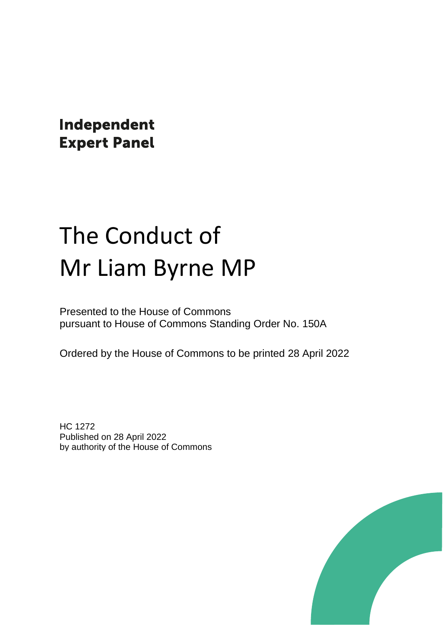Independent **Expert Panel** 

# The Conduct of Mr Liam Byrne MP

Presented to the House of Commons pursuant to House of Commons Standing Order No. 150A

Ordered by the House of Commons to be printed 28 April 2022

HC 1272 Published on 28 April 2022 by authority of the House of Commons

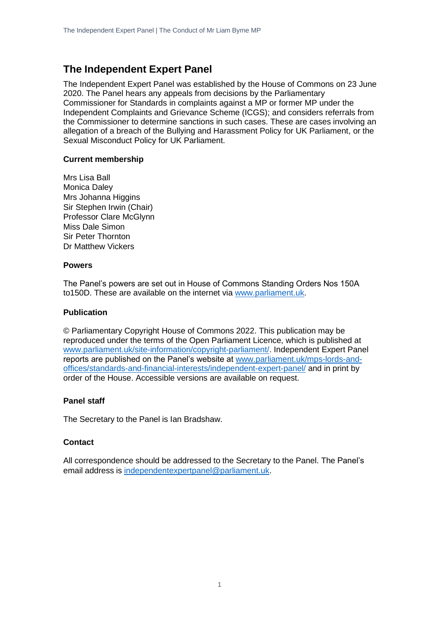### **The Independent Expert Panel**

The Independent Expert Panel was established by the House of Commons on 23 June 2020. The Panel hears any appeals from decisions by the Parliamentary Commissioner for Standards in complaints against a MP or former MP under the Independent Complaints and Grievance Scheme (ICGS); and considers referrals from the Commissioner to determine sanctions in such cases. These are cases involving an allegation of a breach of the Bullying and Harassment Policy for UK Parliament, or the Sexual Misconduct Policy for UK Parliament.

#### **Current membership**

Mrs Lisa Ball Monica Daley Mrs Johanna Higgins Sir Stephen Irwin (Chair) Professor Clare McGlynn Miss Dale Simon Sir Peter Thornton Dr Matthew Vickers

#### **Powers**

The Panel's powers are set out in House of Commons Standing Orders Nos 150A to150D. These are available on the internet via [www.parliament.uk.](http://www.parliament.uk/)

#### **Publication**

© Parliamentary Copyright House of Commons 2022. This publication may be reproduced under the terms of the Open Parliament Licence, which is published at [www.parliament.uk/site-information/copyright-parliament/.](http://www.parliament.uk/site-information/copyright-parliament/) Independent Expert Panel reports are published on the Panel's website at [www.parliament.uk/mps-lords-and](http://www.parliament.uk/mps-lords-and-offices/standards-and-financial-interests/independent-expert-panel/)[offices/standards-and-financial-interests/independent-expert-panel/](http://www.parliament.uk/mps-lords-and-offices/standards-and-financial-interests/independent-expert-panel/) and in print by order of the House. Accessible versions are available on request.

#### **Panel staff**

The Secretary to the Panel is Ian Bradshaw.

#### **Contact**

All correspondence should be addressed to the Secretary to the Panel. The Panel's email address is [independentexpertpanel@parliament.uk.](mailto:independentexpertpanel@parliament.uk)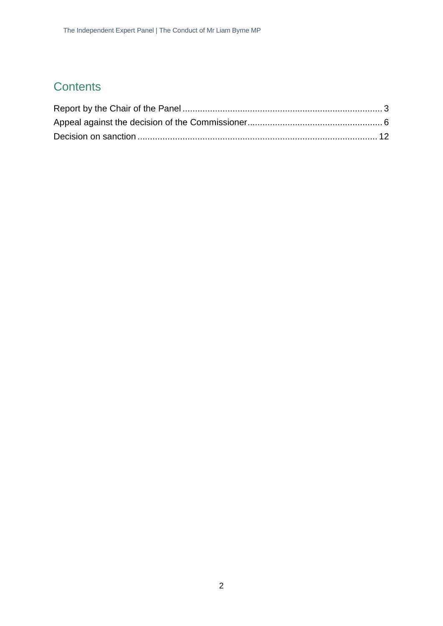### **Contents**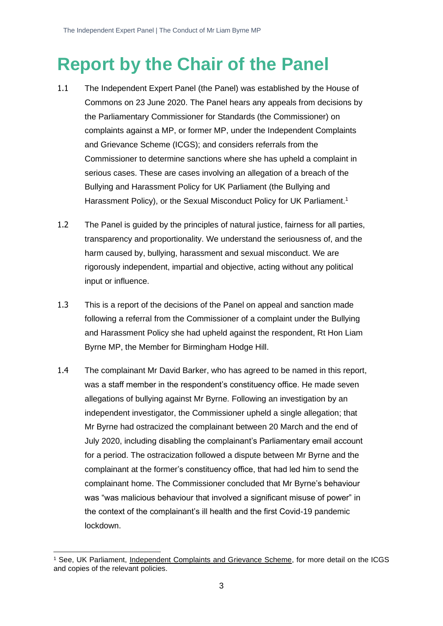## <span id="page-3-0"></span>**Report by the Chair of the Panel**

- 1.1 The Independent Expert Panel (the Panel) was established by the House of Commons on 23 June 2020. The Panel hears any appeals from decisions by the Parliamentary Commissioner for Standards (the Commissioner) on complaints against a MP, or former MP, under the Independent Complaints and Grievance Scheme (ICGS); and considers referrals from the Commissioner to determine sanctions where she has upheld a complaint in serious cases. These are cases involving an allegation of a breach of the Bullying and Harassment Policy for UK Parliament (the Bullying and Harassment Policy), or the Sexual Misconduct Policy for UK Parliament.<sup>1</sup>
- 1.2 The Panel is guided by the principles of natural justice, fairness for all parties, transparency and proportionality. We understand the seriousness of, and the harm caused by, bullying, harassment and sexual misconduct. We are rigorously independent, impartial and objective, acting without any political input or influence.
- 1.3 This is a report of the decisions of the Panel on appeal and sanction made following a referral from the Commissioner of a complaint under the Bullying and Harassment Policy she had upheld against the respondent, Rt Hon Liam Byrne MP, the Member for Birmingham Hodge Hill.
- 1.4 The complainant Mr David Barker, who has agreed to be named in this report, was a staff member in the respondent's constituency office. He made seven allegations of bullying against Mr Byrne. Following an investigation by an independent investigator, the Commissioner upheld a single allegation; that Mr Byrne had ostracized the complainant between 20 March and the end of July 2020, including disabling the complainant's Parliamentary email account for a period. The ostracization followed a dispute between Mr Byrne and the complainant at the former's constituency office, that had led him to send the complainant home. The Commissioner concluded that Mr Byrne's behaviour was "was malicious behaviour that involved a significant misuse of power" in the context of the complainant's ill health and the first Covid-19 pandemic lockdown.

<sup>1</sup> See, UK Parliament, [Independent Complaints and Grievance Scheme,](https://www.parliament.uk/about/independent-complaints-and-grievance-scheme/) for more detail on the ICGS and copies of the relevant policies.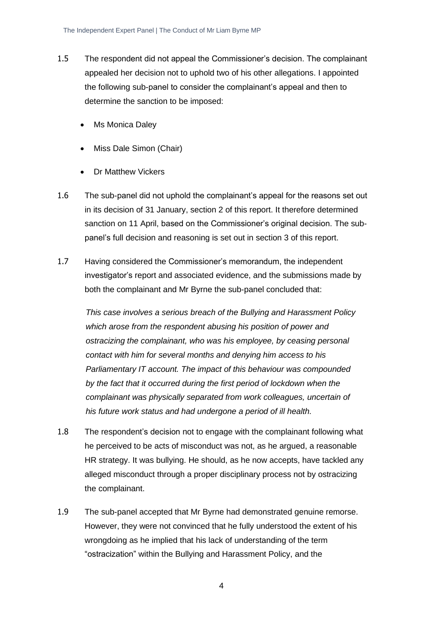- 1.5 The respondent did not appeal the Commissioner's decision. The complainant appealed her decision not to uphold two of his other allegations. I appointed the following sub-panel to consider the complainant's appeal and then to determine the sanction to be imposed:
	- Ms Monica Daley
	- Miss Dale Simon (Chair)
	- Dr Matthew Vickers
- 1.6 The sub-panel did not uphold the complainant's appeal for the reasons set out in its decision of 31 January, section 2 of this report. It therefore determined sanction on 11 April, based on the Commissioner's original decision. The subpanel's full decision and reasoning is set out in section 3 of this report.
- 1.7 Having considered the Commissioner's memorandum, the independent investigator's report and associated evidence, and the submissions made by both the complainant and Mr Byrne the sub-panel concluded that:

*This case involves a serious breach of the Bullying and Harassment Policy which arose from the respondent abusing his position of power and ostracizing the complainant, who was his employee, by ceasing personal contact with him for several months and denying him access to his Parliamentary IT account. The impact of this behaviour was compounded by the fact that it occurred during the first period of lockdown when the complainant was physically separated from work colleagues, uncertain of his future work status and had undergone a period of ill health.* 

- 1.8 The respondent's decision not to engage with the complainant following what he perceived to be acts of misconduct was not, as he argued, a reasonable HR strategy. It was bullying. He should, as he now accepts, have tackled any alleged misconduct through a proper disciplinary process not by ostracizing the complainant.
- 1.9 The sub-panel accepted that Mr Byrne had demonstrated genuine remorse. However, they were not convinced that he fully understood the extent of his wrongdoing as he implied that his lack of understanding of the term "ostracization" within the Bullying and Harassment Policy, and the

4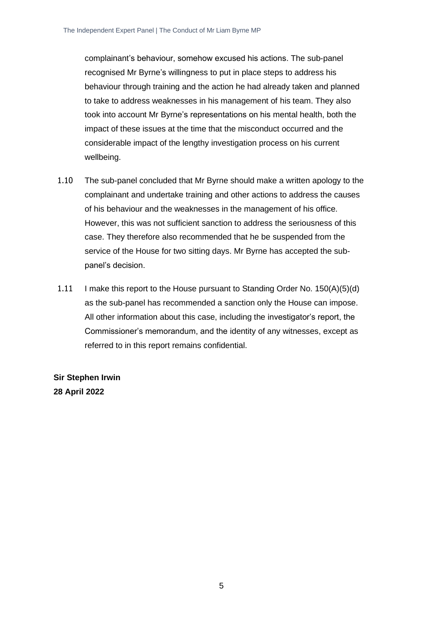complainant's behaviour, somehow excused his actions. The sub-panel recognised Mr Byrne's willingness to put in place steps to address his behaviour through training and the action he had already taken and planned to take to address weaknesses in his management of his team. They also took into account Mr Byrne's representations on his mental health, both the impact of these issues at the time that the misconduct occurred and the considerable impact of the lengthy investigation process on his current wellbeing.

- 1.10 The sub-panel concluded that Mr Byrne should make a written apology to the complainant and undertake training and other actions to address the causes of his behaviour and the weaknesses in the management of his office. However, this was not sufficient sanction to address the seriousness of this case. They therefore also recommended that he be suspended from the service of the House for two sitting days. Mr Byrne has accepted the subpanel's decision.
- 1.11 I make this report to the House pursuant to Standing Order No. 150(A)(5)(d) as the sub-panel has recommended a sanction only the House can impose. All other information about this case, including the investigator's report, the Commissioner's memorandum, and the identity of any witnesses, except as referred to in this report remains confidential.

**Sir Stephen Irwin 28 April 2022**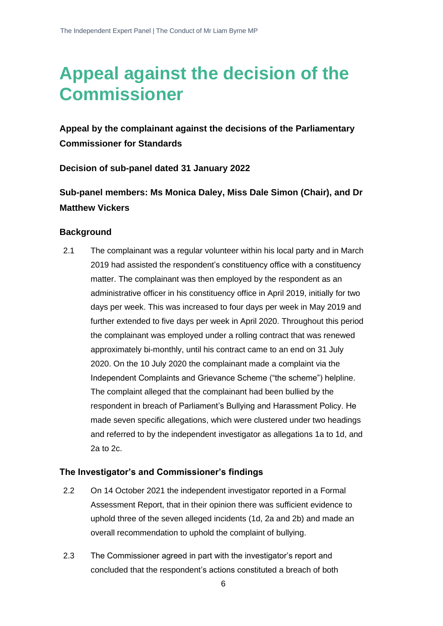# <span id="page-6-0"></span>**Appeal against the decision of the Commissioner**

**Appeal by the complainant against the decisions of the Parliamentary Commissioner for Standards**

**Decision of sub-panel dated 31 January 2022**

**Sub-panel members: Ms Monica Daley, Miss Dale Simon (Chair), and Dr Matthew Vickers**

#### **Background**

2.1 The complainant was a regular volunteer within his local party and in March 2019 had assisted the respondent's constituency office with a constituency matter. The complainant was then employed by the respondent as an administrative officer in his constituency office in April 2019, initially for two days per week. This was increased to four days per week in May 2019 and further extended to five days per week in April 2020. Throughout this period the complainant was employed under a rolling contract that was renewed approximately bi-monthly, until his contract came to an end on 31 July 2020. On the 10 July 2020 the complainant made a complaint via the Independent Complaints and Grievance Scheme ("the scheme") helpline. The complaint alleged that the complainant had been bullied by the respondent in breach of Parliament's Bullying and Harassment Policy. He made seven specific allegations, which were clustered under two headings and referred to by the independent investigator as allegations 1a to 1d, and 2a to 2c.

#### **The Investigator's and Commissioner's findings**

- 2.2 On 14 October 2021 the independent investigator reported in a Formal Assessment Report, that in their opinion there was sufficient evidence to uphold three of the seven alleged incidents (1d, 2a and 2b) and made an overall recommendation to uphold the complaint of bullying.
- 2.3 The Commissioner agreed in part with the investigator's report and concluded that the respondent's actions constituted a breach of both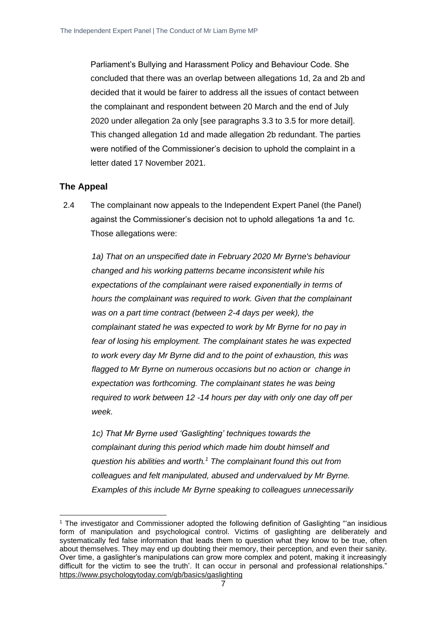Parliament's Bullying and Harassment Policy and Behaviour Code. She concluded that there was an overlap between allegations 1d, 2a and 2b and decided that it would be fairer to address all the issues of contact between the complainant and respondent between 20 March and the end of July 2020 under allegation 2a only [see paragraphs 3.3 to 3.5 for more detail]. This changed allegation 1d and made allegation 2b redundant. The parties were notified of the Commissioner's decision to uphold the complaint in a letter dated 17 November 2021.

#### **The Appeal**

2.4 The complainant now appeals to the Independent Expert Panel (the Panel) against the Commissioner's decision not to uphold allegations 1a and 1c. Those allegations were:

*1a) That on an unspecified date in February 2020 Mr Byrne's behaviour changed and his working patterns became inconsistent while his expectations of the complainant were raised exponentially in terms of hours the complainant was required to work. Given that the complainant was on a part time contract (between 2-4 days per week), the complainant stated he was expected to work by Mr Byrne for no pay in fear of losing his employment. The complainant states he was expected to work every day Mr Byrne did and to the point of exhaustion, this was flagged to Mr Byrne on numerous occasions but no action or change in expectation was forthcoming. The complainant states he was being required to work between 12 -14 hours per day with only one day off per week.*

*1c) That Mr Byrne used 'Gaslighting' techniques towards the complainant during this period which made him doubt himself and question his abilities and worth.<sup>1</sup> The complainant found this out from colleagues and felt manipulated, abused and undervalued by Mr Byrne. Examples of this include Mr Byrne speaking to colleagues unnecessarily* 

<sup>1</sup> The investigator and Commissioner adopted the following definition of Gaslighting "'an insidious form of manipulation and psychological control. Victims of gaslighting are deliberately and systematically fed false information that leads them to question what they know to be true, often about themselves. They may end up doubting their memory, their perception, and even their sanity. Over time, a gaslighter's manipulations can grow more complex and potent, making it increasingly difficult for the victim to see the truth'. It can occur in personal and professional relationships." <https://www.psychologytoday.com/gb/basics/gaslighting>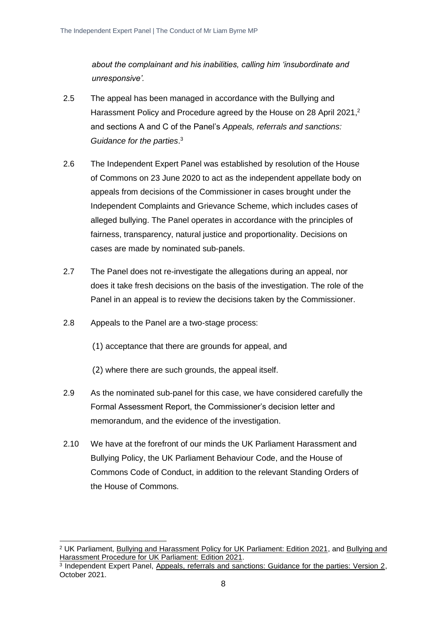*about the complainant and his inabilities, calling him 'insubordinate and unresponsive'.*

- 2.5 The appeal has been managed in accordance with the Bullying and Harassment Policy and Procedure agreed by the House on 28 April 2021,<sup>2</sup> and sections A and C of the Panel's *Appeals, referrals and sanctions: Guidance for the parties*. 3
- 2.6 The Independent Expert Panel was established by resolution of the House of Commons on 23 June 2020 to act as the independent appellate body on appeals from decisions of the Commissioner in cases brought under the Independent Complaints and Grievance Scheme, which includes cases of alleged bullying. The Panel operates in accordance with the principles of fairness, transparency, natural justice and proportionality. Decisions on cases are made by nominated sub-panels.
- 2.7 The Panel does not re-investigate the allegations during an appeal, nor does it take fresh decisions on the basis of the investigation. The role of the Panel in an appeal is to review the decisions taken by the Commissioner.
- 2.8 Appeals to the Panel are a two-stage process:
	- (1) acceptance that there are grounds for appeal, and
	- (2) where there are such grounds, the appeal itself.
- 2.9 As the nominated sub-panel for this case, we have considered carefully the Formal Assessment Report, the Commissioner's decision letter and memorandum, and the evidence of the investigation.
- 2.10 We have at the forefront of our minds the UK Parliament Harassment and Bullying Policy, the UK Parliament Behaviour Code, and the House of Commons Code of Conduct, in addition to the relevant Standing Orders of the House of Commons.

<sup>2</sup> UK Parliament, [Bullying and Harassment Policy for UK Parliament: Edition 2021,](https://www.parliament.uk/globalassets/documents/conduct-in-parliament/bullying-and-harassment-policy.pdf) and [Bullying and](https://www.parliament.uk/globalassets/documents/conduct-in-parliament/bullying-and-harassment-procedure.pdf)  Harassment Procedure for [UK Parliament: Edition 2021.](https://www.parliament.uk/globalassets/documents/conduct-in-parliament/bullying-and-harassment-procedure.pdf)

<sup>&</sup>lt;sup>3</sup> Independent Expert Panel, [Appeals, referrals and sanctions: Guidance for the parties: Version 2,](https://www.parliament.uk/globalassets/mps-lords--offices/standards-and-financial-interests/independent-expert-panel/guidance-for-parties-on-appeals-referrals-and-sanctions-revised-october-2021.pdf) October 2021.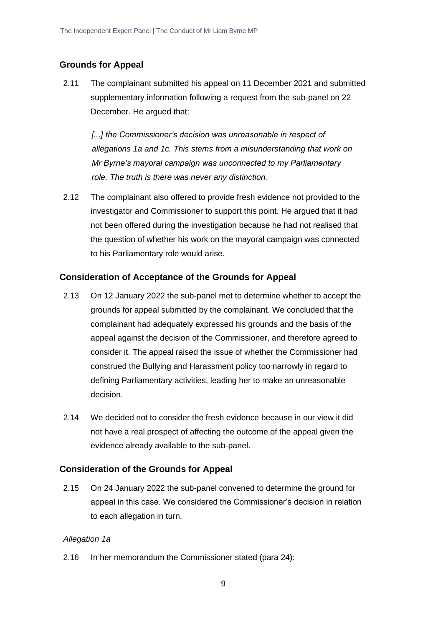#### **Grounds for Appeal**

2.11 The complainant submitted his appeal on 11 December 2021 and submitted supplementary information following a request from the sub-panel on 22 December. He argued that:

*[...] the Commissioner's decision was unreasonable in respect of allegations 1a and 1c. This stems from a misunderstanding that work on Mr Byrne's mayoral campaign was unconnected to my Parliamentary role. The truth is there was never any distinction.*

2.12 The complainant also offered to provide fresh evidence not provided to the investigator and Commissioner to support this point. He argued that it had not been offered during the investigation because he had not realised that the question of whether his work on the mayoral campaign was connected to his Parliamentary role would arise.

#### **Consideration of Acceptance of the Grounds for Appeal**

- 2.13 On 12 January 2022 the sub-panel met to determine whether to accept the grounds for appeal submitted by the complainant. We concluded that the complainant had adequately expressed his grounds and the basis of the appeal against the decision of the Commissioner, and therefore agreed to consider it. The appeal raised the issue of whether the Commissioner had construed the Bullying and Harassment policy too narrowly in regard to defining Parliamentary activities, leading her to make an unreasonable decision.
- 2.14 We decided not to consider the fresh evidence because in our view it did not have a real prospect of affecting the outcome of the appeal given the evidence already available to the sub-panel.

#### **Consideration of the Grounds for Appeal**

2.15 On 24 January 2022 the sub-panel convened to determine the ground for appeal in this case. We considered the Commissioner's decision in relation to each allegation in turn.

#### *Allegation 1a*

2.16 In her memorandum the Commissioner stated (para 24):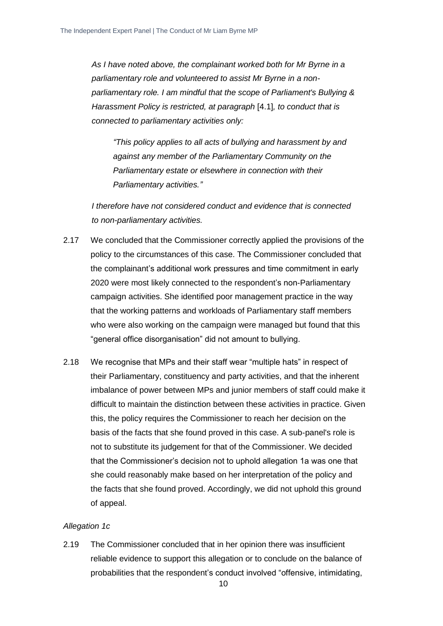*As I have noted above, the complainant worked both for Mr Byrne in a parliamentary role and volunteered to assist Mr Byrne in a nonparliamentary role. I am mindful that the scope of Parliament's Bullying & Harassment Policy is restricted, at paragraph* [4.1], to conduct that is *connected to parliamentary activities only:*

*"This policy applies to all acts of bullying and harassment by and against any member of the Parliamentary Community on the Parliamentary estate or elsewhere in connection with their Parliamentary activities."*

*I therefore have not considered conduct and evidence that is connected to non-parliamentary activities.*

- 2.17 We concluded that the Commissioner correctly applied the provisions of the policy to the circumstances of this case. The Commissioner concluded that the complainant's additional work pressures and time commitment in early 2020 were most likely connected to the respondent's non-Parliamentary campaign activities. She identified poor management practice in the way that the working patterns and workloads of Parliamentary staff members who were also working on the campaign were managed but found that this "general office disorganisation" did not amount to bullying.
- 2.18 We recognise that MPs and their staff wear "multiple hats" in respect of their Parliamentary, constituency and party activities, and that the inherent imbalance of power between MPs and junior members of staff could make it difficult to maintain the distinction between these activities in practice. Given this, the policy requires the Commissioner to reach her decision on the basis of the facts that she found proved in this case. A sub-panel's role is not to substitute its judgement for that of the Commissioner. We decided that the Commissioner's decision not to uphold allegation 1a was one that she could reasonably make based on her interpretation of the policy and the facts that she found proved. Accordingly, we did not uphold this ground of appeal.

#### *Allegation 1c*

2.19 The Commissioner concluded that in her opinion there was insufficient reliable evidence to support this allegation or to conclude on the balance of probabilities that the respondent's conduct involved "offensive, intimidating,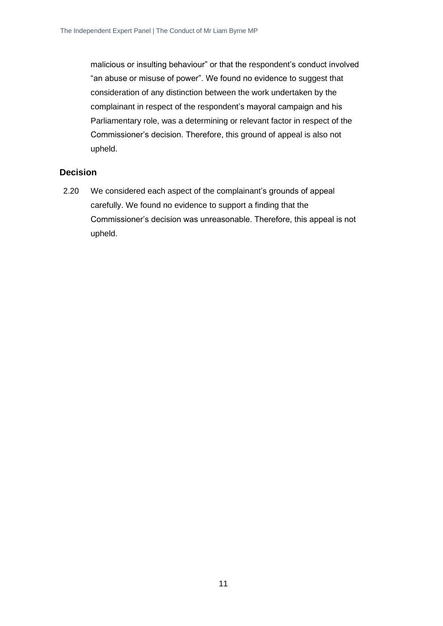malicious or insulting behaviour" or that the respondent's conduct involved "an abuse or misuse of power". We found no evidence to suggest that consideration of any distinction between the work undertaken by the complainant in respect of the respondent's mayoral campaign and his Parliamentary role, was a determining or relevant factor in respect of the Commissioner's decision. Therefore, this ground of appeal is also not upheld.

#### **Decision**

2.20 We considered each aspect of the complainant's grounds of appeal carefully. We found no evidence to support a finding that the Commissioner's decision was unreasonable. Therefore, this appeal is not upheld.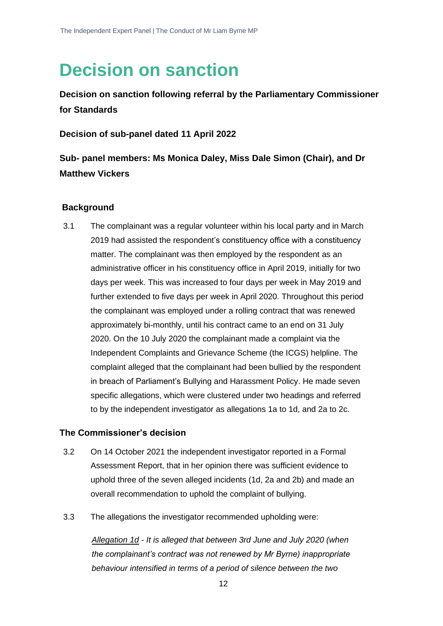### <span id="page-12-0"></span>**Decision on sanction**

**Decision on sanction following referral by the Parliamentary Commissioner for Standards**

**Decision of sub-panel dated 11 April 2022**

**Sub- panel members: Ms Monica Daley, Miss Dale Simon (Chair), and Dr Matthew Vickers**

#### **Background**

3.1 The complainant was a regular volunteer within his local party and in March 2019 had assisted the respondent's constituency office with a constituency matter. The complainant was then employed by the respondent as an administrative officer in his constituency office in April 2019, initially for two days per week. This was increased to four days per week in May 2019 and further extended to five days per week in April 2020. Throughout this period the complainant was employed under a rolling contract that was renewed approximately bi-monthly, until his contract came to an end on 31 July 2020. On the 10 July 2020 the complainant made a complaint via the Independent Complaints and Grievance Scheme (the ICGS) helpline. The complaint alleged that the complainant had been bullied by the respondent in breach of Parliament's Bullying and Harassment Policy. He made seven specific allegations, which were clustered under two headings and referred to by the independent investigator as allegations 1a to 1d, and 2a to 2c.

#### **The Commissioner's decision**

- 3.2 On 14 October 2021 the independent investigator reported in a Formal Assessment Report, that in her opinion there was sufficient evidence to uphold three of the seven alleged incidents (1d, 2a and 2b) and made an overall recommendation to uphold the complaint of bullying.
- 3.3 The allegations the investigator recommended upholding were:

*Allegation 1d - It is alleged that between 3rd June and July 2020 (when the complainant's contract was not renewed by Mr Byrne) inappropriate behaviour intensified in terms of a period of silence between the two*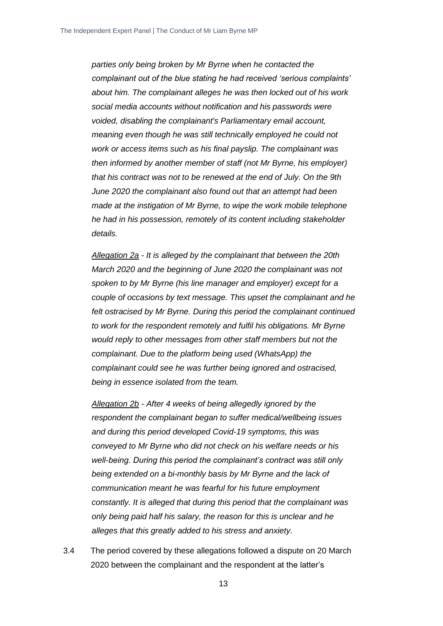*parties only being broken by Mr Byrne when he contacted the complainant out of the blue stating he had received 'serious complaints' about him. The complainant alleges he was then locked out of his work social media accounts without notification and his passwords were voided, disabling the complainant's Parliamentary email account, meaning even though he was still technically employed he could not work or access items such as his final payslip. The complainant was then informed by another member of staff (not Mr Byrne, his employer) that his contract was not to be renewed at the end of July. On the 9th June 2020 the complainant also found out that an attempt had been made at the instigation of Mr Byrne, to wipe the work mobile telephone he had in his possession, remotely of its content including stakeholder details.*

*Allegation 2a - It is alleged by the complainant that between the 20th March 2020 and the beginning of June 2020 the complainant was not spoken to by Mr Byrne (his line manager and employer) except for a couple of occasions by text message. This upset the complainant and he felt ostracised by Mr Byrne. During this period the complainant continued to work for the respondent remotely and fulfil his obligations. Mr Byrne would reply to other messages from other staff members but not the complainant. Due to the platform being used (WhatsApp) the complainant could see he was further being ignored and ostracised, being in essence isolated from the team.*

*Allegation 2b - After 4 weeks of being allegedly ignored by the respondent the complainant began to suffer medical/wellbeing issues and during this period developed Covid-19 symptoms, this was conveyed to Mr Byrne who did not check on his welfare needs or his well-being. During this period the complainant's contract was still only being extended on a bi-monthly basis by Mr Byrne and the lack of communication meant he was fearful for his future employment constantly. It is alleged that during this period that the complainant was only being paid half his salary, the reason for this is unclear and he alleges that this greatly added to his stress and anxiety.*

3.4 The period covered by these allegations followed a dispute on 20 March 2020 between the complainant and the respondent at the latter's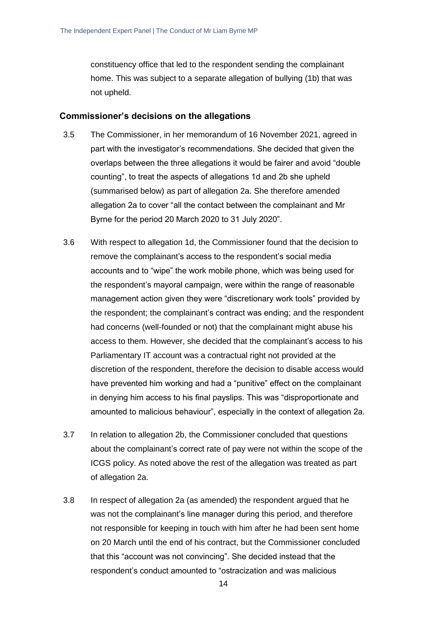constituency office that led to the respondent sending the complainant home. This was subject to a separate allegation of bullying (1b) that was not upheld.

#### **Commissioner's decisions on the allegations**

- 3.5 The Commissioner, in her memorandum of 16 November 2021, agreed in part with the investigator's recommendations. She decided that given the overlaps between the three allegations it would be fairer and avoid "double counting", to treat the aspects of allegations 1d and 2b she upheld (summarised below) as part of allegation 2a. She therefore amended allegation 2a to cover "all the contact between the complainant and Mr Byrne for the period 20 March 2020 to 31 July 2020".
- 3.6 With respect to allegation 1d, the Commissioner found that the decision to remove the complainant's access to the respondent's social media accounts and to "wipe" the work mobile phone, which was being used for the respondent's mayoral campaign, were within the range of reasonable management action given they were "discretionary work tools" provided by the respondent; the complainant's contract was ending; and the respondent had concerns (well-founded or not) that the complainant might abuse his access to them. However, she decided that the complainant's access to his Parliamentary IT account was a contractual right not provided at the discretion of the respondent, therefore the decision to disable access would have prevented him working and had a "punitive" effect on the complainant in denying him access to his final payslips. This was "disproportionate and amounted to malicious behaviour", especially in the context of allegation 2a.
- 3.7 In relation to allegation 2b, the Commissioner concluded that questions about the complainant's correct rate of pay were not within the scope of the ICGS policy. As noted above the rest of the allegation was treated as part of allegation 2a.
- 3.8 In respect of allegation 2a (as amended) the respondent argued that he was not the complainant's line manager during this period, and therefore not responsible for keeping in touch with him after he had been sent home on 20 March until the end of his contract, but the Commissioner concluded that this "account was not convincing". She decided instead that the respondent's conduct amounted to "ostracization and was malicious

14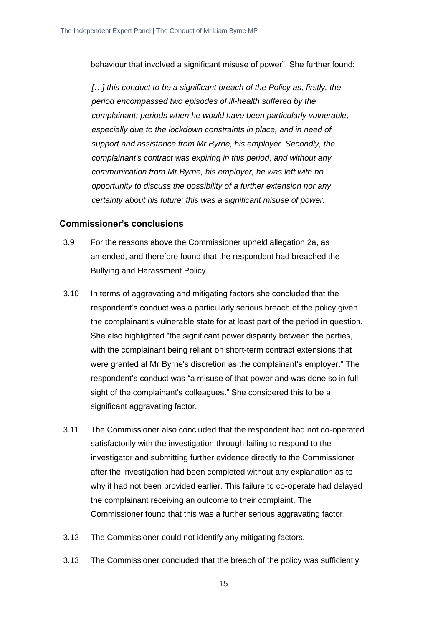behaviour that involved a significant misuse of power". She further found:

*[…] this conduct to be a significant breach of the Policy as, firstly, the period encompassed two episodes of ill-health suffered by the complainant; periods when he would have been particularly vulnerable, especially due to the lockdown constraints in place, and in need of support and assistance from Mr Byrne, his employer. Secondly, the complainant's contract was expiring in this period, and without any communication from Mr Byrne, his employer, he was left with no opportunity to discuss the possibility of a further extension nor any certainty about his future; this was a significant misuse of power.*

#### **Commissioner's conclusions**

- 3.9 For the reasons above the Commissioner upheld allegation 2a, as amended, and therefore found that the respondent had breached the Bullying and Harassment Policy.
- 3.10 In terms of aggravating and mitigating factors she concluded that the respondent's conduct was a particularly serious breach of the policy given the complainant's vulnerable state for at least part of the period in question. She also highlighted "the significant power disparity between the parties, with the complainant being reliant on short-term contract extensions that were granted at Mr Byrne's discretion as the complainant's employer." The respondent's conduct was "a misuse of that power and was done so in full sight of the complainant's colleagues." She considered this to be a significant aggravating factor.
- 3.11 The Commissioner also concluded that the respondent had not co-operated satisfactorily with the investigation through failing to respond to the investigator and submitting further evidence directly to the Commissioner after the investigation had been completed without any explanation as to why it had not been provided earlier. This failure to co-operate had delayed the complainant receiving an outcome to their complaint. The Commissioner found that this was a further serious aggravating factor.
- 3.12 The Commissioner could not identify any mitigating factors.
- 3.13 The Commissioner concluded that the breach of the policy was sufficiently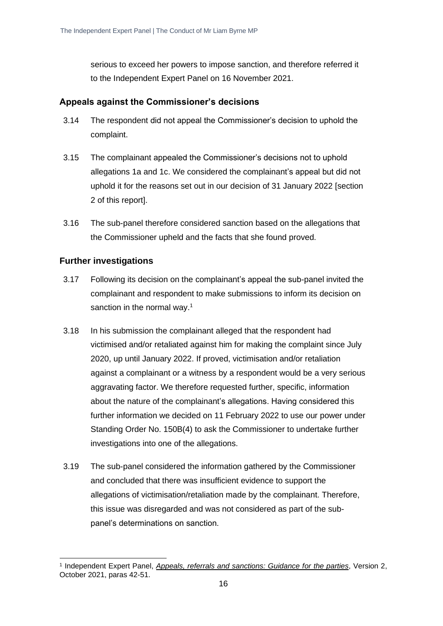serious to exceed her powers to impose sanction, and therefore referred it to the Independent Expert Panel on 16 November 2021.

#### **Appeals against the Commissioner's decisions**

- 3.14 The respondent did not appeal the Commissioner's decision to uphold the complaint.
- 3.15 The complainant appealed the Commissioner's decisions not to uphold allegations 1a and 1c. We considered the complainant's appeal but did not uphold it for the reasons set out in our decision of 31 January 2022 [section 2 of this report].
- 3.16 The sub-panel therefore considered sanction based on the allegations that the Commissioner upheld and the facts that she found proved.

#### **Further investigations**

- 3.17 Following its decision on the complainant's appeal the sub-panel invited the complainant and respondent to make submissions to inform its decision on sanction in the normal way.<sup>1</sup>
- 3.18 In his submission the complainant alleged that the respondent had victimised and/or retaliated against him for making the complaint since July 2020, up until January 2022. If proved, victimisation and/or retaliation against a complainant or a witness by a respondent would be a very serious aggravating factor. We therefore requested further, specific, information about the nature of the complainant's allegations. Having considered this further information we decided on 11 February 2022 to use our power under Standing Order No. 150B(4) to ask the Commissioner to undertake further investigations into one of the allegations.
- 3.19 The sub-panel considered the information gathered by the Commissioner and concluded that there was insufficient evidence to support the allegations of victimisation/retaliation made by the complainant. Therefore, this issue was disregarded and was not considered as part of the subpanel's determinations on sanction.

<sup>1</sup> Independent Expert Panel, *[Appeals, referrals and sanctions: Guidance for the parties](https://www.parliament.uk/globalassets/mps-lords--offices/standards-and-financial-interests/independent-expert-panel/guidance-for-parties-on-appeals-referrals-and-sanctions-revised-october-2021.pdf)*, Version 2, October 2021, paras 42-51.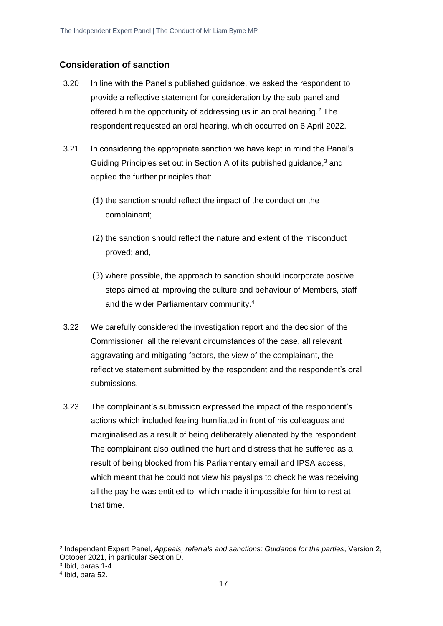#### **Consideration of sanction**

- 3.20 In line with the Panel's published guidance, we asked the respondent to provide a reflective statement for consideration by the sub-panel and offered him the opportunity of addressing us in an oral hearing. $2$  The respondent requested an oral hearing, which occurred on 6 April 2022.
- 3.21 In considering the appropriate sanction we have kept in mind the Panel's Guiding Principles set out in Section A of its published guidance,<sup>3</sup> and applied the further principles that:
	- (1) the sanction should reflect the impact of the conduct on the complainant;
	- (2) the sanction should reflect the nature and extent of the misconduct proved; and,
	- (3) where possible, the approach to sanction should incorporate positive steps aimed at improving the culture and behaviour of Members, staff and the wider Parliamentary community.<sup>4</sup>
- 3.22 We carefully considered the investigation report and the decision of the Commissioner, all the relevant circumstances of the case, all relevant aggravating and mitigating factors, the view of the complainant, the reflective statement submitted by the respondent and the respondent's oral submissions.
- 3.23 The complainant's submission expressed the impact of the respondent's actions which included feeling humiliated in front of his colleagues and marginalised as a result of being deliberately alienated by the respondent. The complainant also outlined the hurt and distress that he suffered as a result of being blocked from his Parliamentary email and IPSA access, which meant that he could not view his payslips to check he was receiving all the pay he was entitled to, which made it impossible for him to rest at that time.

<sup>2</sup> Independent Expert Panel, *[Appeals, referrals and sanctions: Guidance for the parties](https://www.parliament.uk/globalassets/mps-lords--offices/standards-and-financial-interests/independent-expert-panel/guidance-for-parties-on-appeals-referrals-and-sanctions-revised-october-2021.pdf)*, Version 2, October 2021, in particular Section D.

<sup>3</sup> Ibid, paras 1-4.

<sup>4</sup> Ibid, para 52.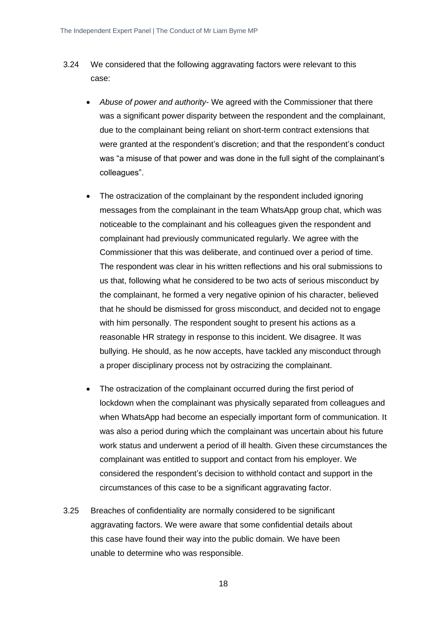- 3.24 We considered that the following aggravating factors were relevant to this case:
	- *Abuse of power and authority* We agreed with the Commissioner that there was a significant power disparity between the respondent and the complainant, due to the complainant being reliant on short-term contract extensions that were granted at the respondent's discretion; and that the respondent's conduct was "a misuse of that power and was done in the full sight of the complainant's colleagues".
	- The ostracization of the complainant by the respondent included ignoring messages from the complainant in the team WhatsApp group chat, which was noticeable to the complainant and his colleagues given the respondent and complainant had previously communicated regularly. We agree with the Commissioner that this was deliberate, and continued over a period of time. The respondent was clear in his written reflections and his oral submissions to us that, following what he considered to be two acts of serious misconduct by the complainant, he formed a very negative opinion of his character, believed that he should be dismissed for gross misconduct, and decided not to engage with him personally. The respondent sought to present his actions as a reasonable HR strategy in response to this incident. We disagree. It was bullying. He should, as he now accepts, have tackled any misconduct through a proper disciplinary process not by ostracizing the complainant.
	- The ostracization of the complainant occurred during the first period of lockdown when the complainant was physically separated from colleagues and when WhatsApp had become an especially important form of communication. It was also a period during which the complainant was uncertain about his future work status and underwent a period of ill health. Given these circumstances the complainant was entitled to support and contact from his employer. We considered the respondent's decision to withhold contact and support in the circumstances of this case to be a significant aggravating factor.
- 3.25 Breaches of confidentiality are normally considered to be significant aggravating factors. We were aware that some confidential details about this case have found their way into the public domain. We have been unable to determine who was responsible.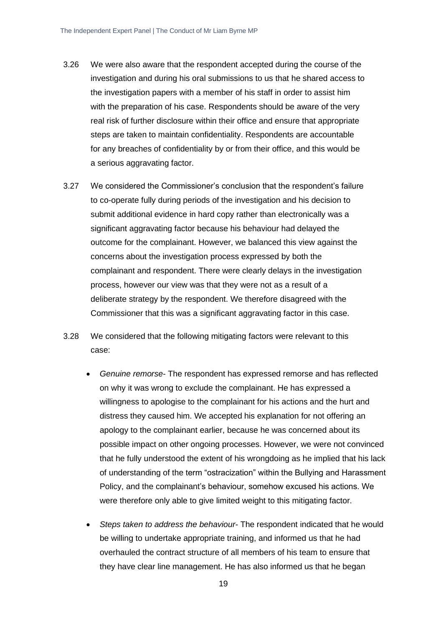- 3.26 We were also aware that the respondent accepted during the course of the investigation and during his oral submissions to us that he shared access to the investigation papers with a member of his staff in order to assist him with the preparation of his case. Respondents should be aware of the very real risk of further disclosure within their office and ensure that appropriate steps are taken to maintain confidentiality. Respondents are accountable for any breaches of confidentiality by or from their office, and this would be a serious aggravating factor.
- 3.27 We considered the Commissioner's conclusion that the respondent's failure to co-operate fully during periods of the investigation and his decision to submit additional evidence in hard copy rather than electronically was a significant aggravating factor because his behaviour had delayed the outcome for the complainant. However, we balanced this view against the concerns about the investigation process expressed by both the complainant and respondent. There were clearly delays in the investigation process, however our view was that they were not as a result of a deliberate strategy by the respondent. We therefore disagreed with the Commissioner that this was a significant aggravating factor in this case.
- 3.28 We considered that the following mitigating factors were relevant to this case:
	- *Genuine remorse* The respondent has expressed remorse and has reflected on why it was wrong to exclude the complainant. He has expressed a willingness to apologise to the complainant for his actions and the hurt and distress they caused him. We accepted his explanation for not offering an apology to the complainant earlier, because he was concerned about its possible impact on other ongoing processes. However, we were not convinced that he fully understood the extent of his wrongdoing as he implied that his lack of understanding of the term "ostracization" within the Bullying and Harassment Policy, and the complainant's behaviour, somehow excused his actions. We were therefore only able to give limited weight to this mitigating factor.
	- *Steps taken to address the behaviour* The respondent indicated that he would be willing to undertake appropriate training, and informed us that he had overhauled the contract structure of all members of his team to ensure that they have clear line management. He has also informed us that he began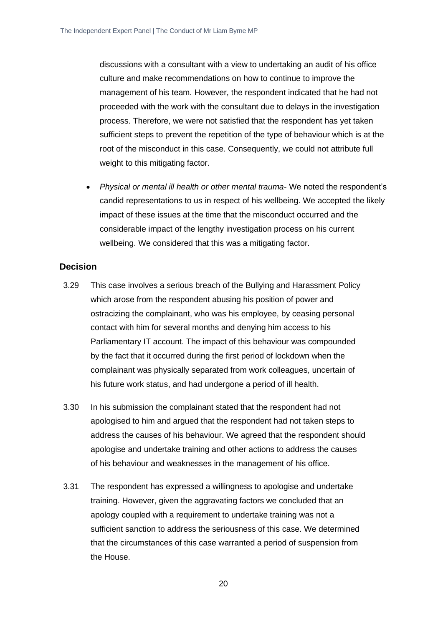discussions with a consultant with a view to undertaking an audit of his office culture and make recommendations on how to continue to improve the management of his team. However, the respondent indicated that he had not proceeded with the work with the consultant due to delays in the investigation process. Therefore, we were not satisfied that the respondent has yet taken sufficient steps to prevent the repetition of the type of behaviour which is at the root of the misconduct in this case. Consequently, we could not attribute full weight to this mitigating factor.

• *Physical or mental ill health or other mental trauma*- We noted the respondent's candid representations to us in respect of his wellbeing. We accepted the likely impact of these issues at the time that the misconduct occurred and the considerable impact of the lengthy investigation process on his current wellbeing. We considered that this was a mitigating factor.

#### **Decision**

- 3.29 This case involves a serious breach of the Bullying and Harassment Policy which arose from the respondent abusing his position of power and ostracizing the complainant, who was his employee, by ceasing personal contact with him for several months and denying him access to his Parliamentary IT account. The impact of this behaviour was compounded by the fact that it occurred during the first period of lockdown when the complainant was physically separated from work colleagues, uncertain of his future work status, and had undergone a period of ill health.
- 3.30 In his submission the complainant stated that the respondent had not apologised to him and argued that the respondent had not taken steps to address the causes of his behaviour. We agreed that the respondent should apologise and undertake training and other actions to address the causes of his behaviour and weaknesses in the management of his office.
- 3.31 The respondent has expressed a willingness to apologise and undertake training. However, given the aggravating factors we concluded that an apology coupled with a requirement to undertake training was not a sufficient sanction to address the seriousness of this case. We determined that the circumstances of this case warranted a period of suspension from the House.